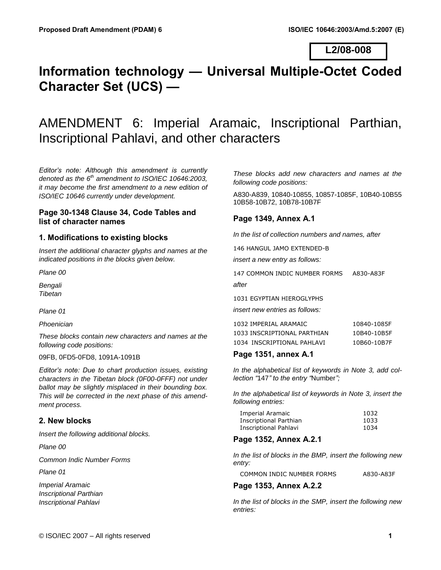### **L2/08-008**

# **Information technology — Universal Multiple-Octet Coded Character Set (UCS) —**

# AMENDMENT 6: Imperial Aramaic, Inscriptional Parthian, Inscriptional Pahlavi, and other characters

*Editor's note: Although this amendment is currently denoted as the 6th amendment to ISO/IEC 10646:2003, it may become the first amendment to a new edition of ISO/IEC 10646 currently under development.* 

### **Page 30-1348 Clause 34, Code Tables and list of character names**

### **1. Modifications to existing blocks**

*Insert the additional character glyphs and names at the indicated positions in the blocks given below.* 

*Plane 00* 

*Bengali Tibetan* 

*Plane 01* 

*Phoenician* 

*These blocks contain new characters and names at the following code positions:* 

09FB, 0FD5-0FD8, 1091A-1091B

*Editor's note: Due to chart production issues, existing characters in the Tibetan block (0F00-0FFF) not under ballot may be slightly misplaced in their bounding box. This will be corrected in the next phase of this amendment process.* 

### **2. New blocks**

*Insert the following additional blocks.* 

*Plane 00* 

*Common Indic Number Forms* 

*Plane 01* 

*Imperial Aramaic Inscriptional Parthian Inscriptional Pahlavi* 

*These blocks add new characters and names at the following code positions:* 

A830-A839, 10840-10855, 10857-1085F, 10B40-10B55 10B58-10B72, 10B78-10B7F

### **Page 1349, Annex A.1**

*In the list of collection numbers and names, after* 

146 HANGUL JAMO EXTENDED-B

*insert a new entry as follows:* 

147 COMMON INDIC NUMBER FORMS A830-A83F *after* 

1031 EGYPTIAN HIEROGLYPHS *insert new entries as follows:* 

1032 IMPERIAL ARAMAIC 10840-1085F

| TUJE IN ENIAL ANANJAIG      | TOO TO TOOT |
|-----------------------------|-------------|
| 1033 INSCRIPTIONAL PARTHIAN | 10B40-10B5F |
| 1034 INSCRIPTIONAL PAHLAVI  | 10B60-10B7F |

### **Page 1351, annex A.1**

*In the alphabetical list of keywords in Note 3, add collection "*147*" to the entry "*Number*";*

*In the alphabetical list of keywords in Note 3, insert the following entries:* 

| Imperial Aramaic       | 1032 |
|------------------------|------|
| Inscriptional Parthian | 1033 |
| Inscriptional Pahlavi  | 1034 |

### **Page 1352, Annex A.2.1**

*In the list of blocks in the BMP, insert the following new entry:* 

COMMON INDIC NUMBER FORMS A830-A83F

### **Page 1353, Annex A.2.2**

*In the list of blocks in the SMP, insert the following new entries:*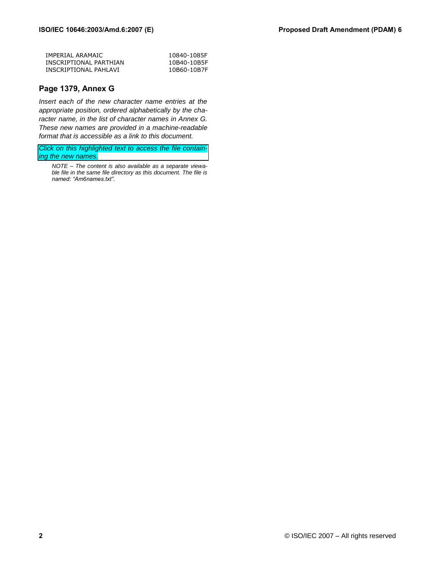| IMPERIAL ARAMAIC       | 10840-1085F |
|------------------------|-------------|
| INSCRIPTIONAL PARTHIAN | 10B40-10B5F |
| INSCRIPTIONAL PAHLAVI  | 10B60-10B7F |

### **Page 1379, Annex G**

*Insert each of the new character name entries at the appropriate position, ordered alphabetically by the character name, in the list of character names in Annex G. These new names are provided in a machine-readable format that is accessible as a link to this document.* 

*Click on this highlighted text to access the file containing the new names.*

*NOTE – The content is also available as a separate viewable file in the same file directory as this document. The file is named: "Am6names.txt".*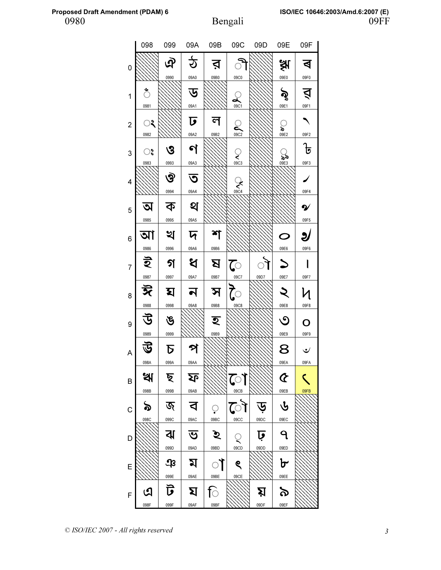|                | 098  | 099            | 09A        | 09B      | 09C                 | 09D  | 09E                        | 09F            |
|----------------|------|----------------|------------|----------|---------------------|------|----------------------------|----------------|
| 0              |      | এ              |            | র        |                     |      | 泳<br>                      | Δ              |
|                |      | 0990           | 09A0       | 09B0     | 09C0                |      | 09E0                       | 09F0           |
| 1              | ै    |                | ড          |          | $\hat{\mathcal{L}}$ |      | ৡ                          | Ń              |
|                | 0981 |                | 09A1       |          | 09C1                |      | 09E1                       | 09F1           |
| $\overline{c}$ | ्र   |                | ঢ          |          | ن<br>ڪ              |      | ្ត្                        |                |
|                | 0982 |                | 09A2       | 09B2     | 09C2                |      | 09E2                       | 09F2           |
| 3              | ್    | ও              | ণ          |          | ्                   |      | ৯৯                         | $\overline{5}$ |
|                | 0983 | 0993           | 09A3       |          | 09C3                |      | 09E3                       | 09F3           |
| 4              |      | ঔ              | ত          |          | $\sum_{09C4}$       |      |                            |                |
|                |      | 0994           | 09A4       |          |                     |      |                            | 09F4           |
| 5              | ৩৷   | ক              | থ          |          |                     |      |                            | ົ້າ            |
|                | 0985 | 0995           | 09A5       |          |                     |      |                            | 09F5           |
| 6              | আ    | খ              | দ          |          |                     |      | O                          | ೨              |
|                | 0986 | 0996           | 09A6       | 09B6     |                     |      | 09E6                       | 09F6           |
| 7              | ই    | গ              | ধ          | <u>ম</u> | $\overline{C}$      | ॊ    |                            |                |
|                | 0987 | 0997           | 09A7       | 09B7     | 09C7                | 09D7 | 09E7                       | 09F7           |
| 8              | ঈ    | ঘ              |            | স        |                     |      |                            |                |
|                | 0988 | 0998           | 09A8       | 09B8     | 09C8                |      | 09E8                       | 09F8           |
| 9              | 丐    | ঙ              |            | হ        |                     |      | ာ                          | O              |
|                | 0989 | 0999           |            | 09B9     |                     |      | 09E9                       | 09F9           |
| A              |      | Б              |            |          |                     |      | 8                          | ٹ              |
|                | 098A | 099A           | 09AA       |          |                     |      | 09EA                       | 09FA           |
| B              | খ    | ছ              | <u>्रि</u> |          | ে।                  |      | $\boldsymbol{\mathcal{C}}$ |                |
|                | 098B | 099B           | 09AB       |          | 09CB                |      | 09EB                       | 09FB           |
| C              | ৯    | জ              | ব          | ़        | ৌ                   |      | ৬                          |                |
|                | 098C | 099C           | 09AC       | 09BC     | 09CC                | 09DC | 09EC                       |                |
| D              |      | ঝ              | ভ          | ৾ঽ       | $\hat{\mathcal{C}}$ | ঢ়   | 9                          |                |
|                |      | 099D           | 09AD       | 09BD     | 09CD                | 09DD | 09ED                       |                |
| E              |      | $\mathfrak{P}$ | ম          | ा        | ୧                   |      | ৮                          |                |
|                |      | 099E           | 09AE       | 09BE     | 09CE                |      | 09EE                       |                |
| F              | ଔ    | ট              | য          | ि        |                     | য়   | ৯                          |                |
|                | 098F | 099F           | 09AF       | 09BF     |                     | 09DF | 09EF                       |                |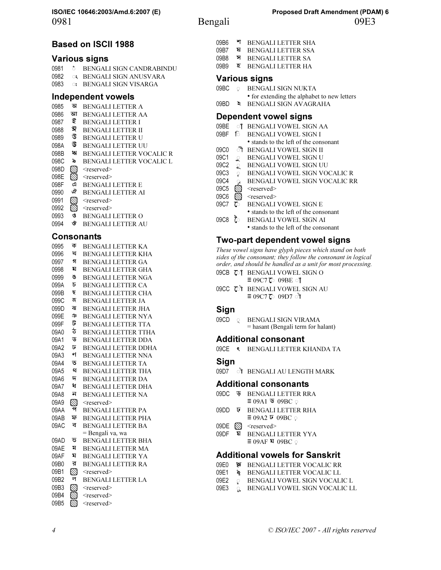0981 Bengali 09E3

### Based on ISCII 1988

### Various signs

| 0981 | $\circ$ | BENGALI SIGN CANDRABINDU |
|------|---------|--------------------------|
| 0982 |         | ः BENGALI SIGN ANUSVARA  |
| 0983 |         | ः BENGALI SIGN VISARGA   |

### Independent vowels

- 0985 অ BENGALI LETTER A<br>0986 আ BENGALI LETTER A
- 0986 আ BENGALI LETTER AA<br>0987 ই BENGALI LETTER I
- BENGALI LETTER I
- 0988 ঈ BENGALI LETTER II
- 0989 উ BENGALI LETTER U
- 098A 〒 BENGALI LETTER UU
- 098B ঋ BENGALI LETTER VOCALIC R
- 098C S BENGALI LETTER VOCALIC L
- 098D  $\otimes$  <reserved>
- 098E  $\otimes$  <reserved>
- 098F এ BENGALI LETTER E
- 0990 <sup>*Q*</sup> BENGALI LETTER AI<br>0991 *S* <reserved>
- 0991  $\bigotimes^{\text{leseerved}}$ <br>0992  $\bigotimes^{\text{leseerved}}$
- 0992  $\mathbb{N}$  <reserved>
- 0993 ও BENGALI LETTER O
- 0994 ঔ BENGALI LETTER AU

### Consonants

0995 ক BENGALI LETTER KA 0996 খ BENGALI LETTER KHA 0997 গ BENGALI LETTER GA 0998 ঘ BENGALI LETTER GHA 0999 ঙ BENGALI LETTER NGA 099A চ BENGALI LETTER CA 099B ছ BENGALI LETTER CHA 099C জ BENGALI LETTER JA 099D ঝ BENGALI LETTER JHA 099E ঞ BENGALI LETTER NYA 099F ট BENGALI LETTER TTA 09A0 ঠ BENGALI LETTER TTHA 09A1 ড BENGALI LETTER DDA 09A2 ঢ BENGALI LETTER DDHA 09A3 ণ BENGALI LETTER NNA 09A4 ত BENGALI LETTER TA 09A5 থ BENGALI LETTER THA 09A6 দ BENGALI LETTER DA 09A7 ধ BENGALI LETTER DHA 09A8 ন BENGALI LETTER NA 09A9 S <reserved> 09AA <sup>প</sup> BENGALI LETTER PA 09AB ফ BENGALI LETTER PHA 09AC ব BENGALI LETTER BA = Bengali va, wa 09AD ভ BENGALI LETTER BHA 09AE ম BENGALI LETTER MA 09AF য BENGALI LETTER YA 09B0 র BENGALI LETTER RA 09B1  $\otimes$  <reserved> 09B2 ল BENGALI LETTER LA 09B3 \ <reserved> 09B4  $\otimes$  <reserved> 09B5  $\otimes$  <reserved>

- 09B6 \* BENGALI LETTER SHA
- 09B7 ষ BENGALI LETTER SSA
- 09B8 স BENGALI LETTER SA
- 09B9 হ BENGALI LETTER HA

### Various signs

- 09BC \$় BENGALI SIGN NUKTA
	- for extending the alphabet to new letters
- 09BD ঽ BENGALI SIGN AVAGRAHA

### Dependent vowel signs

- 09BE of BENGALI VOWEL SIGN AA
- 09BF  $\otimes$  BENGALI VOWEL SIGN I
	- stands to the left of the consonant
- 09C0 ী BENGALI VOWEL SIGN II
- 09C1  $\&$  BENGALI VOWEL SIGN U
- 09C2  $\&$  BENGALI VOWEL SIGN UU
- 09C3  $\heartsuit$  BENGALI VOWEL SIGN VOCALIC R
- 09C4 **BENGALI VOWEL SIGN VOCALIC RR**
- 09C5  $\otimes$  <reserved>
- 09C6  $\otimes$  <reserved>
- 09C7  $\heartsuit$  BENGALI VOWEL SIGN E • stands to the left of the consonant
- 09C8 ৈ BENGALI VOWEL SIGN AI
	- stands to the left of the consonant

### Two-part dependent vowel signs

These vowel signs have glyph pieces which stand on both sides of the consonant; they follow the consonant in logical order, and should be handled as a unit for most processing.

- 09CB  $\overline{C}$ <sup>t</sup> BENGALI VOWEL SIGN O  $\equiv$  09C7 $\sim$  09BE  $\sim$
- 09CC TI BENGALI VOWEL SIGN AU  $\equiv$  09C7 $\sim$  09D7 ो

### **Sign**

09CD © BENGALI SIGN VIRAMA = hasant (Bengali term for halant)

### Additional consonant

09CE ৎ BENGALI LETTER KHANDA TA

### Sign

09D7 ो BENGALI AU LENGTH MARK

### Additional consonants

- 09DC ড় BENGALI LETTER RRA  $\equiv$  09A1  $\overline{\Psi}$  09BC  $\circ$
- 09DD ঢ় BENGALI LETTER RHA  $\equiv$  09A2  $\bar{v}$  09BC  $\circ$
- 09DE S <reserved>
- 09DF য় BENGALI LETTER YYA  $\equiv$  09AF য 09BC ়

### Additional vowels for Sanskrit

- 09E0 第 BENGALI LETTER VOCALIC RR
- **09E1 RENGALI LETTER VOCALIC LL**
- 09E2  $\heartsuit$  BENGALI VOWEL SIGN VOCALIC L
- 09E3 & BENGALI VOWEL SIGN VOCALIC LL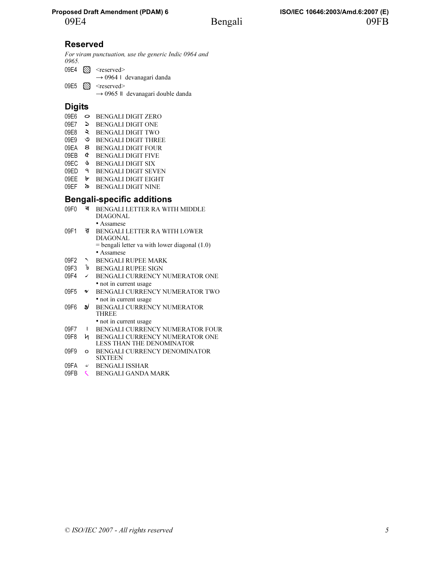## Reserved

For viram punctuation, use the generic Indic 0964 and 0965.

|  | 09E4 $\otimes$ <reserved></reserved>          |
|--|-----------------------------------------------|
|  | $\rightarrow$ 0964   devanagari danda         |
|  | 09E5 $\otimes$ <reserved></reserved>          |
|  | $\rightarrow$ 0965    devanagari double danda |

### **Digits**

- 09E6 ০ BENGALI DIGIT ZERO
- 09E7 ১ BENGALI DIGIT ONE
- 09E8 ২ BENGALI DIGIT TWO
- 09E9 **3** BENGALI DIGIT THREE
- 09EA ৪ BENGALI DIGIT FOUR
- 09EB ৫ BENGALI DIGIT FIVE
- 09EC ৬ BENGALI DIGIT SIX
- 09ED ৭ BENGALI DIGIT SEVEN
- 09EE ৮ BENGALI DIGIT EIGHT
- 09EF ৯ BENGALI DIGIT NINE

### Bengali-specific additions

- 09F0 ৰ BENGALI LETTER RA WITH MIDDLE DIAGONAL • Assamese 09F1 ৱ BENGALI LETTER RA WITH LOWER DIAGONAL = bengali letter va with lower diagonal (1.0) • Assamese 09F2 NBENGALI RUPEE MARK
- 09F3 ৳ BENGALI RUPEE SIGN
- 09F4 / BENGALI CURRENCY NUMERATOR ONE • not in current usage
- 09F5  $\bullet$  BENGALI CURRENCY NUMERATOR TWO • not in current usage
- 09F6 J BENGALI CURRENCY NUMERATOR THREE
	- not in current usage
- 09F7 **I** BENGALI CURRENCY NUMERATOR FOUR
- 09F8 ৸ BENGALI CURRENCY NUMERATOR ONE LESS THAN THE DENOMINATOR
- 09F9 **o** BENGALI CURRENCY DENOMINATOR SIXTEEN
- 09FA ৺ BENGALI ISSHAR
- 09FB **GENGALI GANDA MARK**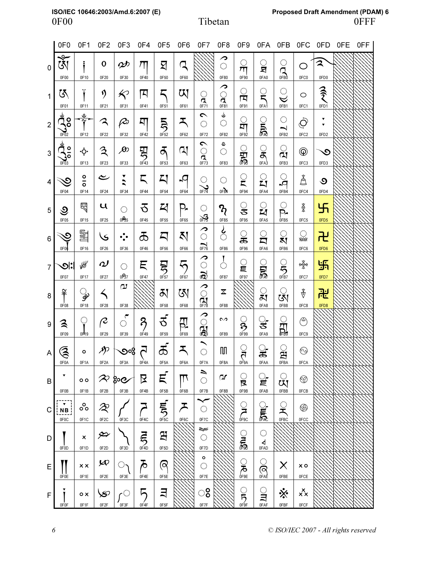|                | 0F <sub>0</sub>                                                                                                 | OF <sub>1</sub>                   | 0F <sub>2</sub>               | 0F <sub>3</sub>                    | 0F4                     | 0F <sub>5</sub>                   | 0F6                                                      | 0F7                                                          | 0F8                                 | 0F9                            | 0FA                     | 0FB                                               | 0FC                             | 0FD                                               | 0FE | 0FF |
|----------------|-----------------------------------------------------------------------------------------------------------------|-----------------------------------|-------------------------------|------------------------------------|-------------------------|-----------------------------------|----------------------------------------------------------|--------------------------------------------------------------|-------------------------------------|--------------------------------|-------------------------|---------------------------------------------------|---------------------------------|---------------------------------------------------|-----|-----|
| 0              | $\mathbb{Z}$<br>0F00                                                                                            | 0F10                              | $\mathbf o$<br>0F20           | $\boldsymbol{\mathscr{D}}$<br>0F30 | $\pi$<br>0F40           | ঘ<br>0F50                         | R<br>0F60                                                |                                                              | ↗<br>$\hat{\mathbb{C}}$<br>0F80     | $\frac{\bigcirc}{\pi}$<br>0F90 | <u>ु</u><br>0FA0        |                                                   | ◯<br>0FC0                       | $\mathbf{z}$<br>0FD0                              |     |     |
| $\mathbf{1}$   | 环<br>0F01                                                                                                       | Ť<br>0F11                         | ŋ<br>0F21                     | $\bm{\not\! \! \! <}$<br>0F31      | 口<br>0F41               | ς<br>0F51                         | ण<br>0F61                                                | ू<br>0F71                                                    | े<br>द<br>0F81                      | ्<br>प्र<br>0F91               | ्रे<br>0FA1             | $\bigcirc$<br>$\breve{~}$<br>0FB1                 | $\circ$<br>0FC1                 | うく<br>0FD1                                        |     |     |
| $\overline{2}$ | ر<br>20م<br>0F02                                                                                                | $\frac{9}{1}$<br>0F12             | ス<br>0F22                     | $\varphi$<br>0F32                  | 찌<br>0F42               | $\sum_{\text{OFS2}}$              | ス<br>0F62                                                | $\sim$<br>$\langle \rangle$<br>0F72                          | لۍ<br>$\bigcirc$<br>0F82            | ्<br>मा<br>0F92                | ्र<br>क्री              | $\bigcirc$<br>$\overline{\phantom{0}}$<br>0FB2    | $\bar{Q}$<br>0FC2               | ▼<br>$\overline{\phantom{a}}$<br>0FD <sub>2</sub> |     |     |
| $\mathbf{3}$   | $\sum_{n=3}^{\infty}$                                                                                           | ۰Ċ۰<br>0F13                       | $\mathfrak{Z}$<br>0F23        | $\cancel{\infty}$<br>0F33          | 男呼                      | $\mathcal{F}$<br>0F53             | q<br>0F63                                                | $\triangleright$<br>$\hat{\mathcal{L}}$<br>$\sum_{0 \in 73}$ | e<br>$\hat{\mathcal{C}}$<br>0F83    | ु<br>सुद्ध                     | ू<br>0FA3               | ू<br>व्<br>0FB3                                   | $^{\circledR}$<br>0FC3          | $\mathcal{O}$<br>0FD3                             |     |     |
| 4              | $\mathfrak{S}% _{T}=\mathfrak{S}_{T}$<br>0F04                                                                   | $\frac{1}{2}$<br>0F14             | ے<br>0F24                     | ▼<br>$\ddot{\phantom{0}}$<br>0F34  | 5<br>0F44               | 지<br>0F54                         | -9<br>0F64                                               | $\sum_{\text{OF}74}$                                         | $\langle \rangle$<br>0F84           | ្ត្<br>0F94                    | ្ត្<br>0FA4             | ू<br>P<br>0FB4                                    | å<br>0FC4                       | $\mathcal{O}$<br>0FD4                             |     |     |
| 5              | ও<br>0F05                                                                                                       | 曷<br>0F15                         | $\mathbf u$<br>0F25           | $\bigcirc$<br>035                  | ठ<br>0F45               | $\boldsymbol{\mathsf{Z}}$<br>0F55 | P.<br>0F65                                               | $\langle \rangle$<br>涡                                       | $\mathcal{P}_{\mathcal{C}}$<br>0F85 | ु<br>0F95                      | ្ច<br>0FA5              | $\overline{\mathbb{C}}$<br>p.<br>OFB <sub>5</sub> | %<br>0FC5                       | $\overline{\mathcal{H}}$<br>0FD5                  |     |     |
| 6              | $\mathfrak{S}% _{T}=\mathfrak{S}_{T}\!\left( a,b\right) ,\ \mathfrak{S}_{T}=C_{T}\!\left( a,b\right) ,$<br>0F0d | 圛<br>0F16                         | کا<br>0F26                    | $\cdot \cdot$<br>0F36              | ౘ<br>0F46               | Д<br>0F56                         | A1<br>0F66                                               | $\hat{C}$<br>$\sum_{0 \in 76}$                               | ૢ૾<br>0F86                          | ౣౢ<br>0F96                     | ្ត្<br>0FA6             | ্র<br>ম<br>0FB6                                   | enia<br>Sia<br>0FC6             | 卍<br>0FD6                                         |     |     |
| $\overline{7}$ | <u>ାେ</u><br>0F07                                                                                               | ⊯<br>0F17                         | $\boldsymbol{\omega}$<br>0F27 | $\hat{\mathcal{C}}$<br>$0P_{37}$   | Ę<br>0F47               | $\sum_{\text{OFST}}$              | $\overline{\mathfrak{H}}_{\overline{\mathfrak{O}}^{67}}$ | ( ) ট্রি                                                     | ္လ<br>0F87                          | ្ទ្រ<br>0F97                   | ្ត្រី                   | $S_{\overline{\text{O}}_{\text{IBZ}}}$            | $\frac{1}{2}$<br>0FC7           | 卐<br>0FD7                                         |     |     |
| 8              | $\widetilde{\mathbf{f}}$<br>0F08                                                                                | ್ಘ<br>0F18                        | く<br>0F28                     | വ<br>0F38                          |                         | ठा<br>0F58                        | छ।<br>0F68                                               | $\sum_{n=1}^{\infty}$                                        | $\overline{\mathbf{x}}$<br>0F88     |                                | ्<br>ब्रा<br>0FA8       | ্র<br>0FB8                                        | $\mathring{\mathbb{V}}$<br>0FC8 | 定<br>OFD8                                         |     |     |
| 9              | 3<br>0F09                                                                                                       | Ç<br>0F19                         | R<br>0F29                     | ۴<br>$\hat{\mathcal{C}}$<br>0F39   | $\partial$<br>0F49      | ಕ<br>0F59                         | 핎<br>0F69                                                | <b>CCG</b>                                                   | $\sim$<br>0F89                      | $\sum_{\theta F99}$            | ु<br>ड<br>0FA9          | <b>SHORE</b>                                      | ම<br>0FC9                       |                                                   |     |     |
| A              | ゑ<br>0F0A                                                                                                       | $\circ$<br>0F1A                   | P)<br>0F2A                    | ೨%<br>0F3A                         | 5<br>0F4A               | ක්<br>0F5A                        | ᅐ<br>0F6A                                                | $\overline{\phantom{0}}$<br>$\bigcirc$<br>0F7A               | M<br>0F8A                           | ू<br>तु<br>0F9A                | ू<br>ಹ<br>0FAA          | ្អ<br>អ៊<br>0FBA                                  | $\odot$<br>0FCA                 |                                                   |     |     |
| В              | 0F0B                                                                                                            | $\circ$<br>0F1B                   | $\infty$ goe<br>0F2B          | 0F3B                               | 又<br>0F4B               | Ę<br>0F5B                         | $\mathbb{L}$<br>0F6B                                     | ⇒<br>$\hat{\mathcal{C}}$<br>0F7B                             | Ωſ<br>0F8B                          | ू<br>0F9B                      | ्रे<br>0FAB             | ्<br>प्रा<br>0FBB                                 | ☜<br>0FCB                       |                                                   |     |     |
| C              | <b>NB</b><br>0F0C                                                                                               | ိ၀<br>0F1C                        | 2<br>0F2C                     | 0F3C                               | 0F4C                    | <b>AND THE</b>                    | ᄌ<br>0F6C                                                | $\hat{\mathcal{L}}$<br>0F7C                                  |                                     | $\sum_{\text{OFG}}$            | ू<br>क्रिकेट            | ्र<br>0FBC                                        | ⊛<br>0FCC                       |                                                   |     |     |
| D              | 0F0D                                                                                                            | $\boldsymbol{\mathsf{x}}$<br>0F1D | ⇎<br>0F2D                     | 0F3D                               | $\overline{\mathbf{5}}$ | 와<br>0F5D                         |                                                          | ᆓ<br>$\mathbb{C}^2$<br>0F7D                                  |                                     | ु<br>जैके<br>जिल्              | $\bigcirc$<br>∢<br>0FAD |                                                   |                                 |                                                   |     |     |
| Ε              | 0F0E                                                                                                            | $\times x$<br>0F1E                | $\bm{\varphi}$<br>0F2E        | ୍ର<br>0F3E                         | ゐ<br>0F4E               | ଟ୍<br>0F5E                        |                                                          | $\frac{1}{\sqrt{2}}$<br>0F7E                                 |                                     | <b>SPORTS</b>                  | <b>CRAE</b>             | X<br>0FBE                                         | $\times$ 0<br>$0$ FCE           |                                                   |     |     |
| F              | 0F <sub>0</sub> F                                                                                               | $\circ x$<br>0F1F                 | ≫<br>0F <sub>2</sub> F        | -0<br>0F3F                         | 0F4F                    | ヨ<br>0F5F                         |                                                          | ್ಠಿ<br>0F7F                                                  |                                     | $\frac{1}{2}$                  | ्र<br>व<br>0FAF         | ❖<br>0FBF                                         | xx<br>0FCF                      |                                                   |     |     |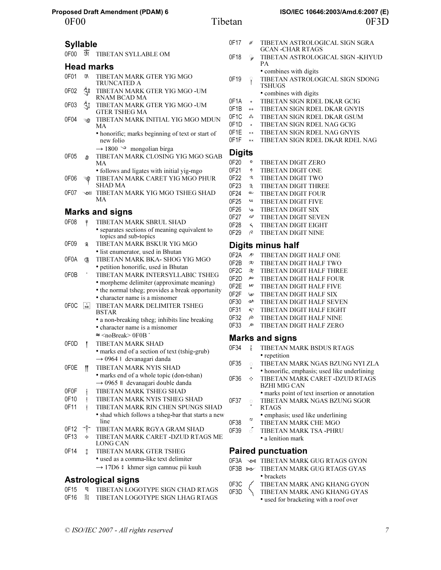| <b>Syllable</b>   |                              |                                                                                           | 0F                   |
|-------------------|------------------------------|-------------------------------------------------------------------------------------------|----------------------|
| 0E00              | জৈ                           | <b>TIBETAN SYLLABLE OM</b>                                                                | 0F                   |
|                   |                              | <b>Head marks</b>                                                                         |                      |
| 0F01              | ζ₹                           | TIBETAN MARK GTER YIG MGO<br>TRUNCATED A                                                  | 0F                   |
| 0F02              | વૈ઼ું8                       | TIBETAN MARK GTER YIG MGO -UM<br>RNAM BCAD MA                                             |                      |
| 0F03              | ुँँँँ                        | TIBETAN MARK GTER YIG MGO -UM<br>GTER TSHEG MA                                            | 0F<br>0F <sup></sup> |
| OF <sub>04</sub>  | ্ত                           | TIBETAN MARK INITIAL YIG MGO MDUN<br>MA                                                   | 0F <sup></sup><br>0F |
|                   |                              | • honorific; marks beginning of text or start of<br>new folio                             | 0F<br>0F             |
| 0F05              | ৩                            | $\rightarrow$ 1800 $\sim$<br>mongolian birga<br>TIBETAN MARK CLOSING YIG MGO SGAB<br>МA   | Di<br>0F2            |
| 0F06              |                              | • follows and ligates with initial yig-mgo<br>TIBETAN MARK CARET YIG MGO PHUR<br>SHAD MA  | 0F.<br>OF:<br>OF:    |
| 0F07              | ৲৩¦∶                         | TIBETAN MARK YIG MGO TSHEG SHAD<br>МA                                                     | 0F.<br>OF:           |
|                   |                              | <b>Marks and signs</b>                                                                    | 0F.                  |
| 0F08              | $\tilde{\tilde{\mathsf{T}}}$ | TIBETAN MARK SBRUL SHAD                                                                   | 0F.                  |
|                   |                              | • separates sections of meaning equivalent to<br>topics and sub-topics                    | 0F.<br>0F            |
| 0F09              | $\tilde{a}$                  | TIBETAN MARK BSKUR YIG MGO                                                                | Di                   |
| 0F0A              | ළ                            | • list enumerator, used in Bhutan<br>TIBETAN MARK BKA- SHOG YIG MGO                       | 0F<br>0F             |
| 0F0B              |                              | · petition honorific, used in Bhutan<br>TIBETAN MARK INTERSYLLABIC TSHEG                  | 0F                   |
|                   |                              | • morpheme delimiter (approximate meaning)                                                | 0F.                  |
|                   |                              | • the normal tsheg; provides a break opportunity                                          | 0F.                  |
|                   |                              | • character name is a misnomer                                                            | 0F.<br>OF:           |
| 0F <sub>0</sub> C | $N_B$                        | TIBETAN MARK DELIMITER TSHEG<br><b>BSTAR</b>                                              | OF:<br>OF:           |
|                   |                              | • a non-breaking tsheg; inhibits line breaking<br>• character name is a misnomer          | OF:                  |
|                   |                              | $\approx$ <nobreak> 0F0B</nobreak>                                                        |                      |
| 0F0D              | I                            | TIBETAN MARK SHAD                                                                         | М                    |
|                   |                              | • marks end of a section of text (tshig-grub)                                             | OF:                  |
|                   |                              | $\rightarrow$ 0964   devanagari danda                                                     | OF:                  |
| 0F0E              | H                            | TIBETAN MARK NYIS SHAD                                                                    |                      |
|                   |                              | · marks end of a whole topic (don-tshan)<br>$\rightarrow$ 0965    devanagari double danda | OF:                  |
| 0F0F              | I                            | TIBETAN MARK TSHEG SHAD                                                                   |                      |
| 0F10<br>0F11      | Ť                            | TIBETAN MARK NYIS TSHEG SHAD<br>TIBETAN MARK RIN CHEN SPUNGS SHAD                         | OF:                  |
|                   | Ť                            | • shad which follows a tsheg-bar that starts a new<br>line                                |                      |
| 0F12              |                              | TIBETAN MARK RGYA GRAM SHAD                                                               | 0F:<br>OF:           |
| 0F13              | ۰ộ۰                          | TIBETAN MARK CARET - DZUD RTAGS ME<br>LONG CAN                                            |                      |
| 0F14              | $\frac{1}{2}$                | TIBETAN MARK GTER TSHEG                                                                   | P                    |
|                   |                              | • used as a comma-like text delimiter                                                     | OF:                  |
|                   |                              | → 17D6 ៖ khmer sign camnuc pii kuuh                                                       | OF:                  |

### Astrological signs

| 0F15 | ¶ TIBETAN LOGOTYPE SIGN CHAD RTAGS |
|------|------------------------------------|
| 0F16 | 图 TIBETAN LOGOTYPE SIGN LHAG RTAGS |

| 0F17   | ₩                 | TIBETAN ASTROLOGICAL SIGN SGRA   |
|--------|-------------------|----------------------------------|
|        |                   | GCAN -CHAR RTAGS                 |
| 0F18   | ್ಮ,               | TIBETAN ASTROLOGICAL SIGN -KHYUD |
|        |                   | PА                               |
|        |                   | • combines with digits           |
| 0F19   | ှ                 | TIBETAN ASTROLOGICAL SIGN SDONG  |
|        |                   | <b>TSHUGS</b>                    |
|        |                   | • combines with digits           |
| 0F1A   | $\circ$           | TIBETAN SIGN RDEL DKAR GCIG      |
| 0F1B   | $\circ$           | TIBETAN SIGN RDEL DKAR GNYIS     |
| 0F1C   | ஃ                 | TIBETAN SIGN RDEL DKAR GSUM      |
| 0F1D   | $\mathbf{x}$      | TIBETAN SIGN RDEL NAG GCIG       |
| 0F1F   | $\times$ $\times$ | TIBETAN SIGN RDEL NAG GNYIS      |
| 0F1F   | $\alpha x$        | TIBETAN SIGN RDEL DKAR RDEL NAG  |
|        |                   |                                  |
| Digits |                   |                                  |
| NE 20  | o                 | TIRETAN DIGIT ZERO               |

| 0F20 | $\mathbf o$                 | TIBETAN DIGIT ZERO         |
|------|-----------------------------|----------------------------|
| 0F21 | ŋ                           | TIBETAN DIGIT ONE          |
| 0F22 | $\mathcal{L}_{\mathcal{A}}$ | TIBETAN DIGIT TWO          |
| 0F23 | $\mathfrak{Z}$              | <b>TIBETAN DIGIT THREE</b> |
| 0F24 | ے                           | <b>TIBETAN DIGIT FOUR</b>  |
| 0F25 | u                           | <b>TIBETAN DIGIT FIVE</b>  |
| 0F26 | ی                           | TIBETAN DIGIT SIX          |
| 0F27 | $\omega$                    | TIBETAN DIGIT SEVEN        |
| 0F28 | $\prec$                     | TIBETAN DIGIT EIGHT        |
| 0F29 | R                           | <b>TIBETAN DIGIT NINE</b>  |
|      |                             |                            |

### igits minus half

|  | 0F2A $\mathcal P$ TIBETAN DIGIT HALF ONE |
|--|------------------------------------------|
|  |                                          |

- 2B  $\approx$  TIBETAN DIGIT HALF TWO
- $2C \quad \textcircled{2}$  TIBETAN DIGIT HALF THREE
- $\mathbb{P}2\mathsf{D} \cong \mathsf{TIBETAN}$  DIGIT HALF FOUR
- $E^{\infty}$  TIBETAN DIGIT HALF FIVE
- $E2F \quad \text{or} \quad \text{TIBETAN DIGIT HALF SIX}$
- $30 \quad \text{20}$  TIBETAN DIGIT HALF SEVEN
- 31  $\ll$  TIBETAN DIGIT HALF EIGHT
- $\overline{P}$  TIBETAN DIGIT HALF NINE
- 33 & TIBETAN DIGIT HALF ZERO

### larks and signs

| 0F34 | i Xili | TIBETAN MARK BSDUS RTAGS                      |
|------|--------|-----------------------------------------------|
|      |        | • repetition                                  |
| 0F35 |        | © TIBETAN MARK NGAS BZUNG NYI ZLA             |
|      | e      | • honorific, emphasis; used like underlining  |
| 0E36 |        | <b>: TIBETAN MARK CARET -DZUD RTAGS</b>       |
|      |        | <b>BZHI MIG CAN</b>                           |
|      |        | • marks point of text insertion or annotation |

- 37 0 TIBETAN MARK NGAS BZUNG SGOR
	- RTAGS • emphasis; used like underlining
- <sup>2</sup> TIBETAN MARK CHE MGO
- 39 **6 TIBETAN MARK TSA -PHRU** • a lenition mark

### aired punctuation

- **3A**  $\infty$  TIBETAN MARK GUG RTAGS GYON
- 3B  $\text{sec}$  TIBETAN MARK GUG RTAGS GYAS
	- brackets
- 0F3C <br>
0F3D <br>
TIBETAN MARK ANG KHANG GYAS TIBETAN MARK ANG KHANG GYAS
	- used for bracketing with a roof over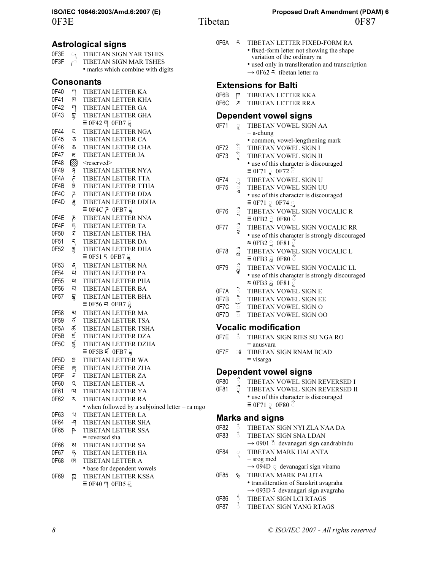0F3E Tibetan 0F87 **ISO/IEC 10646:2003/Amd.6:2007 (E) Proposed Draft Amendment (PDAM) 6**

|  | 0F6A – TIBETAN LETTER FIXED-FORM RA |
|--|-------------------------------------|
|  |                                     |

- fixed-form letter not showing the shape variation of the ordinary ra
	- used only in transliteration and transcription  $\rightarrow$  0F62  $\overline{\phantom{a}}$  tibetan letter ra

## Extensions for Balti

|  | וווסט וטו פווטופווט |                             |  |
|--|---------------------|-----------------------------|--|
|  |                     | OF6B     TIBETAN LETTER KKA |  |
|  |                     |                             |  |

OF6C **A** TIBETAN LETTER RRA

### Dependent vowel signs

- 0F71 G TIBETAN VOWEL SIGN AA  $=$  a-chung
	- common, vowel-lengthening mark
- 0F72 C TIBETAN VOWEL SIGN I<br>0F73 C TIBETAN VOWEL SIGN II
- TIBETAN VOWEL SIGN II • use of this character is discouraged  $\equiv$  0F71  $\approx$  0F72  $\approx$
- OF74 SUMBETAN VOWEL SIGN UNITED STATES THE TRETAN VOWEL SIGN UP
	- $\degree$  TIBETAN VOWEL SIGN UU • use of this character is discouraged
- $\equiv$  0F71  $\approx$  0F74  $\approx$ 0F76  $\hat{S}$  TIBETAN VOWEL SIGN VOCALIC R
- $\equiv$  0FB2  $\degree$  0F80  $\degree$ 0F77  $\lvert \rvert$  TIBETAN VOWEL SIGN VOCALIC RR • use of this character is strongly discouraged
- $\approx$  0FB2  $\approx$  0F81  $\approx$ 0F78 C TIBETAN VOWEL SIGN VOCALIC L  $\equiv$  0FB3  $\approx$  0F80  $\approx$
- 0F79  $\frac{3}{2}$  TIBETAN VOWEL SIGN VOCALIC LL
	- use of this character is strongly discouraged  $\approx$  0FB3  $\approx$  0F81  $\approx$
- 0F7A O TIBETAN VOWEL SIGN E
- 0F7B  $\frac{5}{2}$  TIBETAN VOWEL SIGN EE<br>0F7C  $\frac{5}{2}$  TIBETAN VOWEL SIGN O
- **OF7C** ( TIBETAN VOWEL SIGN O
- TIBETAN VOWEL SIGN OO

### Vocalic modification

- 0F7E  $\circ$  TIBETAN SIGN RJES SU NGA RO = anusvara
- 0F7F © TIBETAN SIGN RNAM BCAD = visarga

### Dependent vowel signs

- 
- 0F80 <sup>3</sup> TIBETAN VOWEL SIGN REVERSED I<br>0F81 <sup>2</sup> TIBETAN VOWEL SIGN REVERSED I TIBETAN VOWEL SIGN REVERSED II • use of this character is discouraged
	- $\equiv$  0F71  $\approx$  0F80  $\approx$

### Marks and signs

0F82 U TIBETAN SIGN NYI ZLA NAA DA

- TIBETAN SIGN SNA LDAN
	- $\rightarrow$  0901  $\,$  devanagari sign candrabindu
- 0F84 W TIBETAN MARK HALANTA = srog med
	- $\rightarrow$  094D  $\circ$  devanagari sign virama
- 0F85  $\frac{1}{2}$  TIBETAN MARK PALUTA • transliteration of Sanskrit avagraha → 093D ऽ devanagari sign avagraha
- 0F86 <sup>8</sup> TIBETAN SIGN LCI RTAGS<br>0F87 <sup>8</sup> TIBETAN SIGN YANG RTA
- TIBETAN SIGN YANG RTAGS

0F3F  $\sim$  TIBETAN SIGN MAR TSHES • marks which combine with digits

### Consonants

| 0F40 | 찌              | <b>TIBETAN LETTER KA</b>                           |
|------|----------------|----------------------------------------------------|
| 0F41 | K              | TIBETAN LETTER KHA                                 |
| 0F42 | 찌              | TIBETAN LETTER GA                                  |
| 0F43 | 男              | TIBETAN LETTER GHA                                 |
|      |                | $\equiv$ 0F42 픽 0FB7 응                             |
| 0F44 | ς              | TIBETAN LETTER NGA                                 |
| 0F45 | ₹              | TIBETAN LETTER CA                                  |
| 0F46 | Ъ              | TIBETAN LETTER CHA                                 |
| 0F47 | Ę              | TIBETAN LETTER JA                                  |
| 0F48 | $\varnothing$  | <reserved></reserved>                              |
| 0F49 |                | TIBETAN LETTER NYA                                 |
| 0F4A | うさ             | TIBETAN LETTER TTA                                 |
| 0F4B | X              | TIBETAN LETTER TTHA                                |
| 0F4C | 5              | TIBETAN LETTER DDA                                 |
| 0F4D | .<br>इ         | TIBETAN LETTER DDHA                                |
|      |                | $\equiv$ 0F4C $\geq$ 0FB7 $\stackrel{\circ}{\leq}$ |
| 0F4E | ₹              | TIBETAN LETTER NNA                                 |
| 0F4F | 5              | TIBETAN LETTER TA                                  |
| 0F50 | ঘ              | TIBETAN LETTER THA                                 |
| 0F51 | 5              | TIBETAN LETTER DA                                  |
| 0F52 | $\overline{5}$ | TIBETAN LETTER DHA                                 |
|      |                | $\equiv$ 0F51 5 0FB7 $\approx$                     |
| 0F53 | ส              | TIBETAN LETTER NA                                  |
| 0F54 | 지              | TIBETAN LETTER PA                                  |
| 0F55 | 적              | TIBETAN LETTER PHA                                 |
| 0F56 | 직              | <b>TIBETAN LETTER BA</b>                           |
| 0F57 | Ę              | TIBETAN LETTER BHA                                 |
|      |                | $\equiv$ 0F56 $\equiv$ 0FB7 $\approx$              |
| 0F58 | 지              | TIBETAN LETTER MA                                  |
| 0F59 | ಕ              | TIBETAN LETTER TSA                                 |
| 0F5A | ಹ              | TIBETAN LETTER TSHA                                |
| 0F5B | Ę              | TIBETAN LETTER DZA                                 |
| 0F5C | 昜              | TIBETAN LETTER DZHA                                |
|      |                | $\equiv$ 0F5B $\leq$ 0FB7 $\leq$                   |
| 0F5D | 맘              | TIBETAN LETTER WA                                  |
| 0F5E | ଟି             | TIBETAN LETTER ZHA                                 |
| 0F5F | ₹              | <b>TIBETAN LETTER ZA</b>                           |
| 0F60 | ς              | TIBETAN LETTER - A                                 |
| 0F61 | 띠              | TIBETAN LETTER YA                                  |
| 0F62 | ጚ              | <b>TIBETAN LETTER RA</b>                           |
|      |                | • when followed by a subjoined letter = ra mgo     |
| 0F63 | q              | <b>TIBETAN LETTER LA</b>                           |
| 0F64 | -9             | TIBETAN LETTER SHA                                 |
| 0F65 | p,             | TIBETAN LETTER SSA                                 |
|      |                | = reversed sha                                     |
| 0F66 | ম              | TIBETAN LETTER SA                                  |
| 0F67 | 5              | TIBETAN LETTER HA                                  |
| 0F68 | ζ              | TIBETAN LETTER A                                   |
|      |                | · base for dependent vowels                        |
| 0F69 | 핎              | TIBETAN LETTER KSSA                                |
|      |                | $\equiv$ 0F40 $\pi$ 0FB5 $\approx$                 |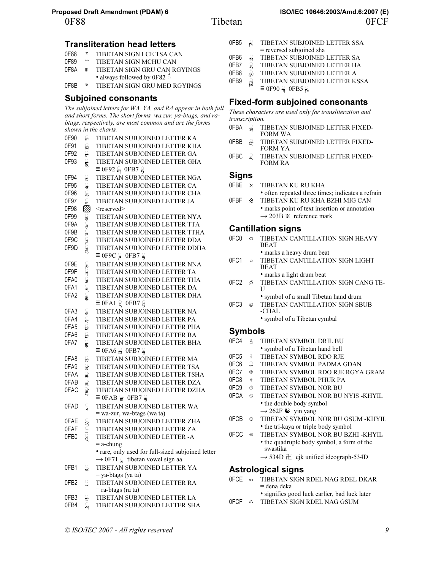### Transliteration head letters

- 0F88 TIBETAN SIGN LCE TSA CAN
- $^{\circ\circ}$  TIBETAN SIGN MCHU CAN
- OF8A  $\blacksquare$  TIBETAN SIGN GRU CAN RGYINGS • always followed by 0F82  $\check{\circ}$
- 0F8B ¢ TIBETAN SIGN GRU MED RGYINGS

### Subjoined consonants

The subjoined letters for WA, YA, and RA appear in both full and short forms. The short forms, wa.zur, ya-btags, and rabtags, respectively, are most common and are the forms shown in the charts.

| 0F90             | ਸ                       | TIBETAN SUBJOINED LETTER KA                            |
|------------------|-------------------------|--------------------------------------------------------|
| 0F91             | ू<br>म                  | TIBETAN SUBJOINED LETTER KHA                           |
| 0F92             | প্ৰ                     | TIBETAN SUBJOINED LETTER GA                            |
| 0F93             | ं<br>सु                 | TIBETAN SUBJOINED LETTER GHA                           |
|                  |                         | $\equiv$ 0F92 $\frac{0}{21}$ 0FB7 $\frac{0}{2}$        |
| 0F94             |                         | TIBETAN SUBJOINED LETTER NGA                           |
| 0F95             | ू<br>ू                  | TIBETAN SUBJOINED LETTER CA                            |
| 0F96             | ្ឌ                      | TIBETAN SUBJOINED LETTER CHA                           |
| 0F97             |                         | TIBETAN SUBJOINED LETTER JA                            |
| 0F98             | e<br>Ø                  | <reserved></reserved>                                  |
| 0F99             |                         | TIBETAN SUBJOINED LETTER NYA                           |
| 0F9A             | ○ろつさ○¤○Nつき              | TIBETAN SUBJOINED LETTER TTA                           |
| 0F9B             |                         | TIBETAN SUBJOINED LETTER TTHA                          |
| 0F9C             |                         | TIBETAN SUBJOINED LETTER DDA                           |
| 0F9D             |                         | TIBETAN SUBJOINED LETTER DDHA                          |
|                  |                         | $\equiv$ 0F9C $\approx$ 0FB7 $\approx$                 |
| 0F9E             |                         | TIBETAN SUBJOINED LETTER NNA                           |
| 0F9F             | ころこうこうごう                | TIBETAN SUBJOINED LETTER TA                            |
| 0FA0             |                         | TIBETAN SUBJOINED LETTER THA                           |
| 0FA1             |                         | TIBETAN SUBJOINED LETTER DA                            |
| 0FA <sub>2</sub> |                         | TIBETAN SUBJOINED LETTER DHA                           |
|                  |                         | $\equiv$ OFA1 $\geq$ OFB7 $\geq$                       |
| 0FA3             |                         | TIBETAN SUBJOINED LETTER NA                            |
| 0FA4             | ্র                      | TIBETAN SUBJOINED LETTER PA                            |
| 0FA5             | 님                       | TIBETAN SUBJOINED LETTER PHA                           |
| 0FA6             | ្អ                      | TIBETAN SUBJOINED LETTER BA                            |
| 0FA7             | ខ្ព                     | TIBETAN SUBJOINED LETTER BHA                           |
|                  |                         | $\equiv$ 0FA6 $\approx$ 0FB7 $\approx$                 |
| 0FA8             | ্ব                      | TIBETAN SUBJOINED LETTER MA                            |
| 0FA9             | ু                       | TIBETAN SUBJOINED LETTER TSA                           |
| 0FAA             | ್ಞ.                     | TIBETAN SUBJOINED LETTER TSHA                          |
| 0FAB             | ੂ                       | TIBETAN SUBJOINED LETTER DZA                           |
| 0FAC             | 鲁                       | TIBETAN SUBJOINED LETTER DZHA                          |
|                  |                         | $\equiv$ 0FAB $\geq$ 0FB7 $\leq$                       |
| 0FAD             | $\frac{1}{4}$           | TIBETAN SUBJOINED LETTER WA                            |
|                  |                         | = wa-zur, wa-btags (wa ta)                             |
| 0FAE             |                         | TIBETAN SUBJOINED LETTER ZHA                           |
| 0FAF             |                         | TIBETAN SUBJOINED LETTER ZA                            |
| 0FB0             | ூயில்                   | TIBETAN SUBJOINED LETTER -A                            |
|                  |                         | $=$ a-chung                                            |
|                  |                         | · rare, only used for full-sized subjoined letter      |
|                  |                         | $\rightarrow$ 0F71 $\frac{1}{6}$ tibetan vowel sign aa |
| 0FB1             | ్ర                      | TIBETAN SUBJOINED LETTER YA                            |
|                  |                         | = ya-btags (ya ta)                                     |
| 0FB2             | $\overline{\mathbf{L}}$ | TIBETAN SUBJOINED LETTER RA                            |
|                  |                         | = ra-btags (ra ta)                                     |
| 0FB3             | å                       | TIBETAN SUBJOINED LETTER LA                            |
| 0FB4             | ្ធ                      | TIBETAN SUBJOINED LETTER SHA                           |

| 0FB5 | g             | TIBETAN SUBJOINED LETTER SSA           |
|------|---------------|----------------------------------------|
|      |               | = reversed subjoined sha               |
| 0FB6 | ু,            | TIBETAN SUBJOINED LETTER SA            |
| 0FB7 |               | TIBETAN SUBJOINED LETTER HA            |
| 0FB8 | ্বর্ত         | TIBETAN SUBJOINED LETTER A             |
| 0FB9 | $\frac{1}{2}$ | TIBETAN SUBJOINED LETTER KSSA          |
|      |               | $\equiv$ 0F90 $\approx$ 0FB5 $\approx$ |

### Fixed-form subjoined consonants

These characters are used only for transliteration and transcription.

- 0FBA <sup>2</sup> TIBETAN SUBJOINED LETTER FIXED-FORM WA
- OFBB <sup>Q</sup><sub>x</sub> TIBETAN SUBJOINED LETTER FIXED-FORM YA
- OFBC  $\int$  TIBETAN SUBJOINED LETTER FIXED-FORM RA

### **Signs**

- 0FBE  $\times$  TIBETAN KU RU KHA • often repeated three times; indicates a refrain
- 0FBF  $*$  TIBETAN KU RU KHA BZHI MIG CAN • marks point of text insertion or annotation  $\rightarrow$  203B  $*$  reference mark

### Cantillation signs

| 0EC0             |            | TIBETAN CANTILLATION SIGN HEAVY<br><b>BEAT</b>               |
|------------------|------------|--------------------------------------------------------------|
| 0FC1             | $\circ$    | • marks a heavy drum beat<br>TIBETAN CANTILLATION SIGN LIGHT |
|                  |            | <b>BEAT</b>                                                  |
|                  |            | • marks a light drum beat                                    |
|                  |            | 0FC2 $\odot$ TIBETAN CANTILLATION SIGN CANG TE-<br>$\Box$    |
|                  |            | • symbol of a small Tibetan hand drum                        |
| 0FC <sub>3</sub> | $^{\circ}$ | TIBETAN CANTILLATION SIGN SBUB<br>$-CHAL$                    |
|                  |            | • symbol of a Tibetan cymbal                                 |

### Symbols

| 0FC4             | Å                     | TIBETAN SYMBOL DRIL BU                                 |
|------------------|-----------------------|--------------------------------------------------------|
|                  |                       | • symbol of a Tibetan hand bell                        |
| OFC <sub>5</sub> | 晏                     | TIBETAN SYMBOL RDO RJE                                 |
| 0FC6             | ្លួ                   | TIBETAN SYMBOL PADMA GDAN                              |
| 0FC7             | 囈                     | TIBETAN SYMBOL RDO RJE RGYA GRAM                       |
| 0FC8             | $\frac{3}{9}$         | TIBETAN SYMBOL PHUR PA                                 |
| 0FC9             | ◈                     | TIBETAN SYMBOL NOR BU                                  |
| 0FCA             | ని                    | TIBETAN SYMBOL NOR BU NYIS -KHYIL                      |
|                  |                       | • the double body symbol                               |
|                  |                       | $\rightarrow$ 262F $\odot$ yin yang                    |
| 0FCB             | ඹ                     | TIBETAN SYMBOL NOR BU GSUM -KHYIL                      |
|                  |                       | • the tri-kaya or triple body symbol                   |
| 0ECC             | ⊛                     | TIBETAN SYMBOL NOR BU BZHI -KHYIL                      |
|                  |                       | • the quadruple body symbol, a form of the<br>swastika |
|                  |                       | $\rightarrow$ 534D $\pm$ cjk unified ideograph-534D    |
|                  |                       | <b>Astrological signs</b>                              |
| OECE.            | $\mathbf{v}$ $\alpha$ | TIRETAN SIGN RDEL NAG RDEL DKAR                        |

- 0FCE ×0 TIBETAN SIGN RDEL NAG RDEL DKAR = dena deka
	- signifies good luck earlier, bad luck later
- 0FCF  $\dot{\cdot}$  TIBETAN SIGN RDEL NAG GSUM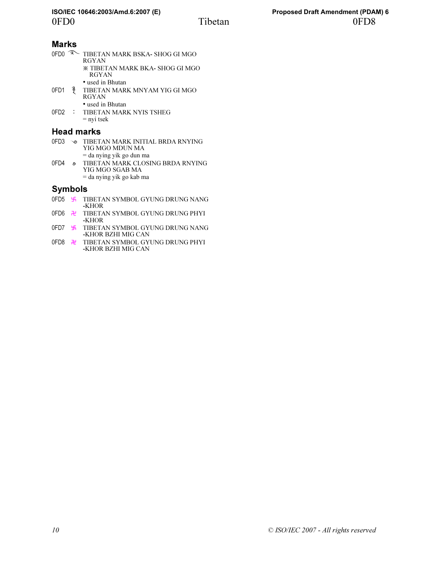### Marks

| 0FD <sub>0</sub> | ా             | TIBETAN MARK BSKA- SHOG GI MGO<br><b>RGYAN</b>         |
|------------------|---------------|--------------------------------------------------------|
|                  |               | <b>※ TIBETAN MARK BKA- SHOG GI MGO</b><br><b>RGYAN</b> |
|                  |               | • used in Bhutan                                       |
| 0FD1             | $\frac{2}{3}$ | TIBETAN MARK MNYAM YIG GI MGO<br><b>RGYAN</b>          |
|                  |               | • used in Bhutan                                       |
|                  |               | 0FD2 : TIBETAN MARK NYIS TSHEG<br>$=$ nyi tsek         |

### Head marks

| 0FD3 |     | TIBETAN MARK INITIAL BRDA RNYING<br>YIG MGO MDUN MA |
|------|-----|-----------------------------------------------------|
|      |     | $=$ da nying yik go dun ma                          |
| 0FD4 | ۰Ñ, | TIBETAN MARK CLOSING BRDA RNYING<br>YIG MGO SGAB MA |
|      |     | $=$ da nying yik go kab ma                          |

### Symbols

- 0FD5 **E** TIBETAN SYMBOL GYUNG DRUNG NANG -KHOR
- 0FD6 **H** TIBETAN SYMBOL GYUNG DRUNG PHYI -KHOR
- 0FD7 **E** TIBETAN SYMBOL GYUNG DRUNG NANG -KHOR BZHI MIG CAN
- 0FD8 Ì TIBETAN SYMBOL GYUNG DRUNG PHYI -KHOR BZHI MIG CAN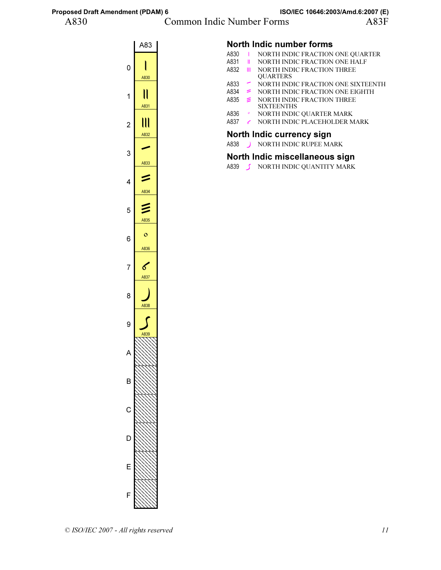### A830 Common Indic Number Forms A83F



### North Indic number forms

- A830 I NORTH INDIC FRACTION ONE QUARTER<br>A831 II NORTH INDIC FRACTION ONE HALF
- A831 *II* NORTH INDIC FRACTION ONE HALF<br>A832 *III* NORTH INDIC FRACTION THREE
	- NORTH INDIC FRACTION THREE **OUARTERS**
- A833  $\sim$  NORTH INDIC FRACTION ONE SIXTEENTH A834  $\approx$  NORTH INDIC FRACTION ONE EIGHTH
- $A834 \cong \text{NORTH INDIC FRACTION ONE EIGHTH}$ <br> $A835 \cong \text{NORTH INDIC FRACTION THREE}$
- $\leq$  NORTH INDIC FRACTION THREE SIXTEENTHS
- A836 NORTH INDIC OUARTER MARK
- A837 & NORTH INDIC PLACEHOLDER MARK

### North Indic currency sign

A838 NORTH INDIC RUPEE MARK

### North Indic miscellaneous sign

A839 S NORTH INDIC QUANTITY MARK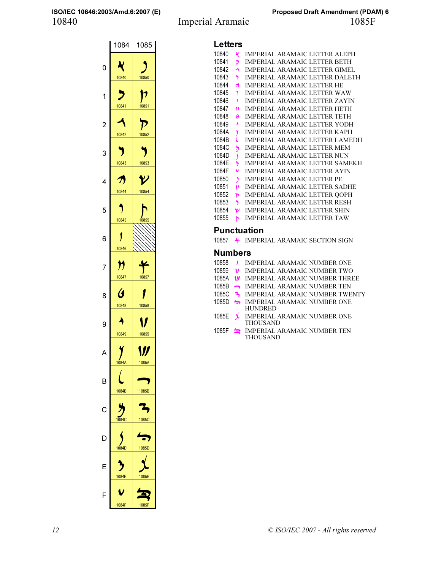### 10840 Imperial Aramaic 1085F **ISO/IEC 10646:2003/Amd.6:2007 (E) Proposed Draft Amendment (PDAM) 6**

|                | 1084                          | 1085              |
|----------------|-------------------------------|-------------------|
| 0              | Ŋ<br>10840                    | 10850             |
| 1              | 10841                         | 10851             |
| $\overline{c}$ | 10842                         | 10852             |
| 3              | 10843                         | 10853             |
| 4              | $\boldsymbol{\pi}$<br>10844   | ソ<br>10854        |
| 5              | 10845                         | 10855             |
| 6              | 10846                         |                   |
| 7              | ${\boldsymbol \eta}$<br>10847 | 10857             |
| 8              | Ø<br>10848                    | 10858             |
| 9              | 10849                         | 10859             |
|                | 1084A                         | V<br><b>IU65A</b> |
| B              | 1084B                         | 1085B             |
| C              | 1084C                         | 1085C             |
| D              | 1084D                         | 1085D             |
| F              | 1084E                         | 1085E             |
| F              | 1084F                         | 1085F             |

| Letters |  |
|---------|--|

| <b>Letters</b>      |                         |                                       |  |
|---------------------|-------------------------|---------------------------------------|--|
| 10840               | K                       | <b>IMPERIAL ARAMAIC LETTER ALEPH</b>  |  |
| 10841               | י                       | <b>IMPERIAL ARAMAIC LETTER BETH</b>   |  |
| 10842               | ≺                       | IMPERIAL ARAMAIC LETTER GIMEL         |  |
| 10843               | Y.                      | <b>IMPERIAL ARAMAIC LETTER DALETH</b> |  |
| 10844               | ヵ                       | <b>IMPERIAL ARAMAIC LETTER HE</b>     |  |
| 10845               | $\mathbf{\hat{z}}$      | <b>IMPERIAL ARAMAIC LETTER WAW</b>    |  |
| 10846               | $\mathbf{f}$            | <b>IMPERIAL ARAMAIC LETTER ZAYIN</b>  |  |
| 10847               | n                       | <b>IMPERIAL ARAMAIC LETTER HETH</b>   |  |
| 10848               | G                       | <b>IMPERIAL ARAMAIC LETTER TETH</b>   |  |
| 10849               | ۸                       | <b>IMPERIAL ARAMAIC LETTER YODH</b>   |  |
| 1084A               | y                       | <b>IMPERIAL ARAMAIC LETTER KAPH</b>   |  |
| 1084B               | ί                       | <b>IMPERIAL ARAMAIC LETTER LAMEDH</b> |  |
| 1084C               | ž                       | <b>IMPERIAL ARAMAIC LETTER MEM</b>    |  |
| 1084D               | $\overline{\mathbf{S}}$ | <b>IMPERIAL ARAMAIC LETTER NUN</b>    |  |
| 1084F               | ð                       | IMPERIAL ARAMAIC LETTER SAMEKH        |  |
| 1084F               | $\checkmark$            | <b>IMPERIAL ARAMAIC LETTER AYIN</b>   |  |
| 10850               | $\mathbf{A}$            | <b>IMPERIAL ARAMAIC LETTER PE</b>     |  |
| 10851               | þ                       | <b>IMPERIAL ARAMAIC LETTER SADHE</b>  |  |
| 10852               | Þ                       | <b>IMPERIAL ARAMAIC LETTER OOPH</b>   |  |
| 10853               | 7                       | <b>IMPERIAL ARAMAIC LETTER RESH</b>   |  |
| 10854               | V                       | <b>IMPERIAL ARAMAIC LETTER SHIN</b>   |  |
| 10855               | ħ                       | <b>IMPERIAL ARAMAIC LETTER TAW</b>    |  |
| Punctuation         |                         |                                       |  |
| 10857               |                         | * IMPERIAL ARAMAIC SECTION SIGN       |  |
| <b>Numbers</b>      |                         |                                       |  |
| 10858 <i>I</i>      |                         | <b>IMPERIAL ARAMAIC NUMBER ONE</b>    |  |
| 10859 $\frac{1}{2}$ |                         | <b>IMPERIAL ARAMAIC NUMBER TWO</b>    |  |
| 1085A               | $\mathbf{w}$            | <b>IMPERIAL ARAMAIC NUMBER THREE</b>  |  |
|                     |                         |                                       |  |

|  | 1085B - IMPERIAL ARAMAIC NUMBER TEN |
|--|-------------------------------------|
|--|-------------------------------------|

- 1085C <sup>3</sup> IMPERIAL ARAMAIC NUMBER TWENTY
- 1085D SMPERIAL ARAMAIC NUMBER ONE HUNDRED
- 1085E **↓** IMPERIAL ARAMAIC NUMBER ONE THOUSAND
- 1085F SMPERIAL ARAMAIC NUMBER TEN THOUSAND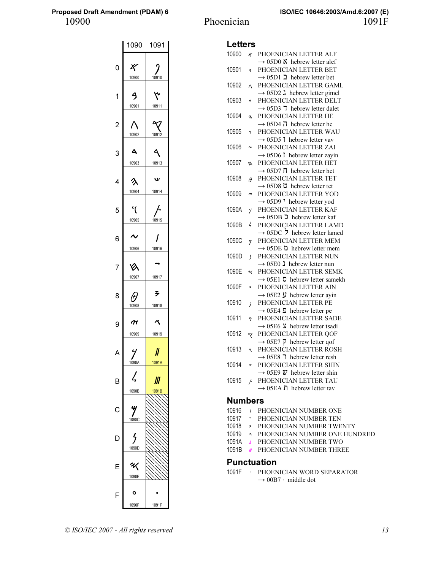|   |                    | 1090 1091              |
|---|--------------------|------------------------|
| 0 | K<br>10900         | 10910                  |
| 1 | ٩<br>10901         | ۴<br>10911             |
|   | 10902              | $\mathcal{R}$<br>10912 |
|   | д<br>10903         | 10913                  |
| 4 | へ<br>10904         | v<br>10914             |
| 5 | ধ<br>10905         | 10915                  |
| 6 | 10906              | 10916                  |
|   | Vλ                 |                        |
| 8 | 10907<br>10908     | 10917<br>孑<br>10918    |
| 9 | $\boldsymbol{\pi}$ |                        |
| A | 10909              | 10919<br>JJ            |
| B | 1090A<br>Z         | 1091A<br>Ш             |
| C | 1090B              | 1091B                  |
| D | 1090C              |                        |
| Ε | 1090D<br>Ц         |                        |
|   | 1090E<br>o         |                        |
| F | 1090F              | 1091F                  |

| <b>Letters</b> |                          |                                                                                   |
|----------------|--------------------------|-----------------------------------------------------------------------------------|
| 10900          | x                        | PHOENICIAN LETTER ALF                                                             |
|                |                          | $\rightarrow$ 05D0 $\lambda$ hebrew letter alef                                   |
| 10901          | g                        | PHOENICIAN LETTER BET                                                             |
|                |                          | $\rightarrow$ 05D1 2 hebrew letter bet                                            |
| 10902          | Λ                        | PHOENICIAN LETTER GAML                                                            |
|                |                          | $\rightarrow$ 05D2 $\lambda$ hebrew letter gimel                                  |
| 10903          | Ą                        | PHOENICIAN LETTER DELT                                                            |
|                |                          | $\rightarrow$ 05D3 7 hebrew letter dalet                                          |
| 10904          | 久                        | PHOENICIAN LETTER HE                                                              |
|                |                          | $\rightarrow$ 05D4 $\overline{1}$ hebrew letter he                                |
| 10905          | y                        | PHOENICIAN LETTER WAU                                                             |
| 10906          |                          | $\rightarrow$ 05D5 1 hebrew letter vav<br>PHOENICIAN LETTER ZAI                   |
|                | $\tilde{ }$              | $\rightarrow$ 05D6 $\uparrow$ hebrew letter zayin                                 |
| 10907          | ø                        | PHOENICIAN LETTER HET                                                             |
|                |                          | $\rightarrow$ 05D7 $\overline{\Pi}$ hebrew letter het                             |
| 10908          | $\theta$                 | PHOENICIAN LETTER TET                                                             |
|                |                          | → 05D8 $\dot{\mathsf{D}}$ hebrew letter tet                                       |
| 10909          | $\sigma$                 | PHOENICIAN LETTER YOD                                                             |
|                |                          | $\rightarrow$ 05D9 <sup>,</sup> hebrew letter yod                                 |
| 1090A          | 4                        | PHOENICIAN LETTER KAF                                                             |
|                |                          | $\rightarrow$ 05DB $\supset$ hebrew letter kaf                                    |
| 1090B          | $\zeta$                  | PHOENICIAN LETTER LAMD                                                            |
|                |                          | $\rightarrow$ 05DC $\overline{2}$ hebrew letter lamed                             |
| 1090C          | y                        | PHOENICIAN LETTER MEM                                                             |
|                |                          | $\rightarrow$ 05DE $\Delta$ hebrew letter mem                                     |
| 1090D          | $\overline{\phantom{a}}$ | PHOENICIAN LETTER NUN                                                             |
| 1090E          |                          | $\rightarrow$ 05E0 1 hebrew letter nun<br>PHOENICIAN LETTER SEMK                  |
|                | ₩                        | $\rightarrow$ 05E1 $\bar{O}$ hebrew letter samekh                                 |
| 1090F          | $\circ$                  | PHOENICIAN LETTER AIN                                                             |
|                |                          | $\rightarrow$ 05E2 $\ddot{y}$ hebrew letter ayin                                  |
| 10910          | $\overline{\mathcal{L}}$ | PHOENICIAN LETTER PE                                                              |
|                |                          | $\rightarrow$ 05E4 <b>D</b> hebrew letter pe                                      |
| 10911          | ٣                        | PHOENICIAN LETTER SADE                                                            |
|                |                          | $\rightarrow$ 05E6 $\bar{\text{S}}$ hebrew letter tsadi                           |
| 10912          | q                        | PHOENICIAN LETTER QOF                                                             |
|                |                          | $\rightarrow$ 05E7 $\bar{p}$ hebrew letter qof                                    |
| 10913          | $\mathcal{A}$            | PHOENICIAN LETTER ROSH                                                            |
|                |                          | $\rightarrow$ 05E8 7 hebrew letter resh                                           |
| 10914          | w                        | PHOENICIAN LETTER SHIN                                                            |
|                |                          | $\rightarrow$ 05E9 $\ddot{v}$ hebrew letter shin                                  |
| 10915          | $\overline{b}$           | PHOENICIAN LETTER TAU<br>$\rightarrow$ 05EA $\overline{\bf{n}}$ hebrew letter tav |
|                |                          |                                                                                   |
|                |                          |                                                                                   |

### Numbers

- 10916 / PHOENICIAN NUMBER ONE
- 10917 **-** PHOENICIAN NUMBER TEN
- 10918 > PHOENICIAN NUMBER TWENTY
- 10919 𐤙 PHOENICIAN NUMBER ONE HUNDRED
- 1091A *II* PHOENICIAN NUMBER TWO
- 1091B *II* PHOENICIAN NUMBER THREE

### Punctuation

1091F PHOENICIAN WORD SEPARATOR  $\rightarrow$  00B7 · middle dot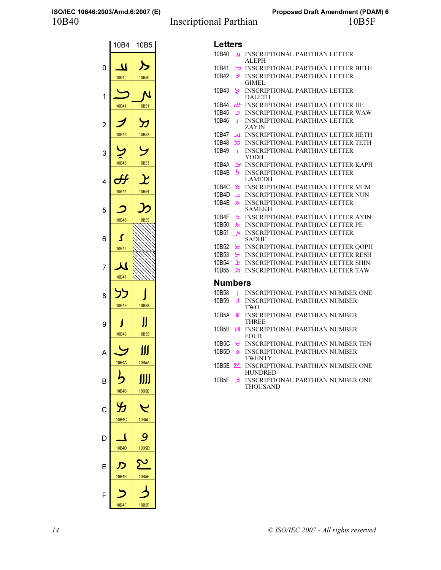### 10B40 Inscriptional Parthian 10B5F **ISO/IEC 10646:2003/Amd.6:2007 (E) Proposed Draft Amendment (PDAM) 6**



## L attare

| ᄓᇦᇉ       |                  |                                                            |
|-----------|------------------|------------------------------------------------------------|
| 10B40     | $\mathbf{u}$     | INSCRIPTIONAL PARTHIAN LETTER<br>ALEPH                     |
| 10B41     | ヒ                | INSCRIPTIONAL PARTHIAN LETTER BETH                         |
| 10B42     | ノ                | <b>INSCRIPTIONAL PARTHIAN LETTER</b>                       |
|           |                  | GIMEL                                                      |
| 10B43     | ر                | <b>INSCRIPTIONAL PARTHIAN LETTER</b><br>DALETH             |
| 10B44     | ₩                | INSCRIPTIONAL PARTHIAN LETTER HE                           |
| 10B45     | د                | <b>INSCRIPTIONAL PARTHIAN LETTER WAW</b>                   |
| 10B46     | Z.               | <b>INSCRIPTIONAL PARTHIAN LETTER</b><br><b>ZAYIN</b>       |
| 10B47     | ﯩﺮ               | <b>INSCRIPTIONAL PARTHIAN LETTER HETH</b>                  |
| 10B48     | לל               | INSCRIPTIONAL PARTHIAN LETTER TETH                         |
| 10B49     | J.               | <b>INSCRIPTIONAL PARTHIAN LETTER</b><br>YODH               |
| 10B4A     | У                | INSCRIPTIONAL PARTHIAN LETTER KAPH                         |
| 10B4B     | ら                | <b>INSCRIPTIONAL PARTHIAN LETTER</b>                       |
|           |                  | LAMEDH                                                     |
| 10B4C     | ₩                | INSCRIPTIONAL PARTHIAN LETTER MEM                          |
| 10B4D     | $\blacktriangle$ | <b>INSCRIPTIONAL PARTHIAN LETTER NUN</b>                   |
| 10B4E     | ת                | <b>INSCRIPTIONAL PARTHIAN LETTER</b>                       |
|           |                  | SAMEKH                                                     |
| 10B4F     | ر                | <b>INSCRIPTIONAL PARTHIAN LETTER AYIN</b>                  |
| 10B50     | ≻                | <b>INSCRIPTIONAL PARTHIAN LETTER PE</b>                    |
| 10B51     | $\mathbf{M}$     | <b>INSCRIPTIONAL PARTHIAN LETTER</b>                       |
|           |                  | SADHE                                                      |
| 10B52     | У                | <b>INSCRIPTIONAL PARTHIAN LETTER QOPH</b>                  |
| 10B53     | ىر               | <b>INSCRIPTIONAL PARTHIAN LETTER RESH</b>                  |
| 10B54     | بر               | INSCRIPTIONAL PARTHIAN LETTER SHIN                         |
| 10B55     | C                | <b>INSCRIPTIONAL PARTHIAN LETTER TAW</b>                   |
| Numbers   |                  |                                                            |
| 10B58     | ı                | INSCRIPTIONAL PARTHIAN NUMBER ONE                          |
| 10B59     | Ш                | <b>INSCRIPTIONAL PARTHIAN NUMBER</b>                       |
|           |                  | TWO                                                        |
| 10B5A     | Ш                | INSCRIPTIONAL PARTHIAN NUMBER<br><b>THREE</b>              |
| 10B5B     | ШJ               | INSCRIPTIONAL PARTHIAN NUMBER<br><b>FOUR</b>               |
| 10B5C     | ٢                | INSCRIPTIONAL PARTHIAN NUMBER TEN                          |
| 10B5D     | و                | <b>INSCRIPTIONAL PARTHIAN NUMBER</b><br>TWENTY             |
| 10B5E     | <u>مح</u>        | <b>INSCRIPTIONAL PARTHIAN NUMBER ONE</b><br><b>HUNDRED</b> |
| 10B5F - 3 |                  | INSCRIPTIONAL PARTHIAN NUMBER ONE<br>THOUSAND              |
|           |                  |                                                            |